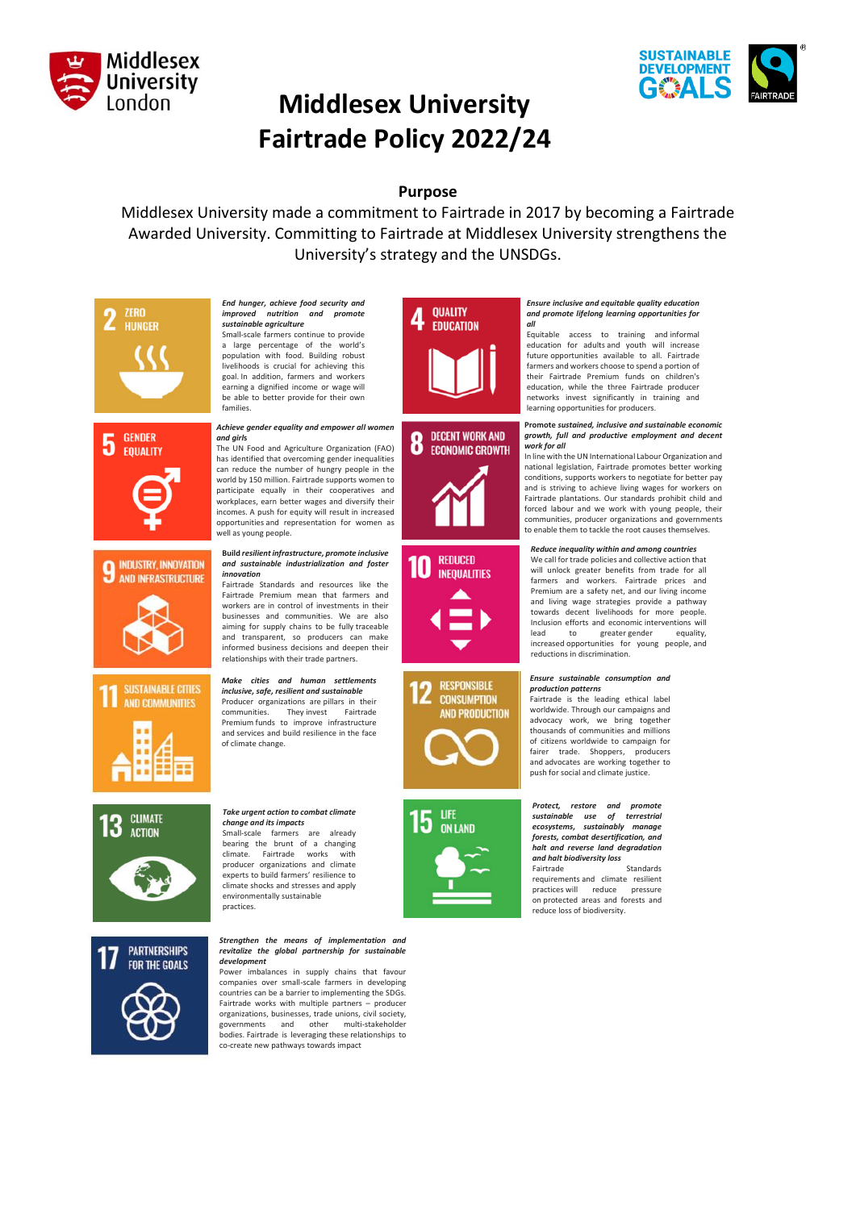



# **Middlesex University Fairtrade Policy 2022/24**

## **Purpose**

Middlesex University made a commitment to Fairtrade in 2017 by becoming a Fairtrade Awarded University. Committing to Fairtrade at Middlesex University strengthens the University's strategy and the UNSDGs.

















#### *End hunger, achieve food security and improved nutrition sustainable agriculture* Small-scale farmers continue to provide a large percentage of the world's population with food. Building robust

livelihoods is crucial for achieving this goal. In addition, farmers and workers earning a dignified income or wage will be able to better provide for their own families.

#### *Achieve gender equality and empower all women and girl***s**

The UN Food and Agriculture Organization (FAO) has identified that overcoming gender inequalities can reduce the number of hungry people in the world by 150 million. Fairtrade supports women to participate equally in their cooperatives and workplaces, earn better wages and diversify their incomes. A push for equity will result in increased opportunities and representation for women as well as young people.

#### **Build** *resilient infrastructure, promote inclusive and sustainable industrialization and foster innovation*

Fairtrade Standards and resources like the Fairtrade Premium mean that farmers and workers are in control of investments in their businesses and communities. We are also aiming for supply chains to be fully traceable and transparent, so producers can make informed business decisions and deepen their relationships with their trade partners.

*Make cities and human settlements inclusive, safe, resilient and sustainable* Producer organizations are pillars in their<br>communities. They invest Fairtrade communities. They invest Fairtrade Premium funds to improve infrastructure and services and build resilience in the face of climate change.

#### *Take urgent action to combat climate change and its impacts* Small-scale farmers are already bearing the brunt of a changing climate. Fairtrade works producer organizations and climate experts to build farmers' resilience to climate shocks and stresses and apply environmentally sustainable practices.

#### *Strengthen the means of implementation and revitalize the global partnership for sustainable development*

Power imbalances in supply chains that favour companies over small-scale farmers in developing countries can be a barrier to implementing the SDGs. Fairtrade works with multiple partners – producer organizations, businesses, trade unions, civil society, governments and other multi-stakeholder bodies. Fairtrade is leveraging these relationships to co-create new pathways towards impact





**REDUCED** 111 **INEQUALITIES** 





#### *Ensure inclusive and equitable quality education and promote lifelong learning opportunities for all*

Equitable access to training and informal education for adults and youth will increase future opportunities available to all. Fairtrade farmers and workers choose to spend a portion of their Fairtrade Premium funds on children's education, while the three Fairtrade producer networks invest significantly in training and learning opportunities for producers.

#### **Promote** *sustained, inclusive and sustainable economic growth, full and productive employment and decent work for all*

In line with the UN International Labour Organization and national legislation, Fairtrade promotes better working conditions, supports workers to negotiate for better pay and is striving to achieve living wages for workers on Fairtrade plantations. Our standards prohibit child and forced labour and we work with young people, their communities, producer organizations and governments to enable them to tackle the root causes themselves.

### *Reduce inequality within and among countries*

We call for trade policies and collective action that will unlock greater benefits from trade for all<br>farmers and workers. Fairtrade prices and farmers and workers. Fairtrade Premium are a safety net, and our living income and living wage strategies provide a pathway towards decent livelihoods for more people. Inclusion efforts and economic interventions will<br>lead to greater gender equality. greater gender increased opportunities for young people, and reductions in discrimination.

#### *Ensure sustainable consumption and production patterns*

Fairtrade is the leading ethical label worldwide. Through our campaigns and advocacy work, we bring together thousands of communities and millions of citizens worldwide to campaign for fairer trade. Shoppers, producers and advocates are working together to push for social and climate justice.



requirements and climate resilient practices will reduce pressure on protected areas and forests and reduce loss of biodiversity.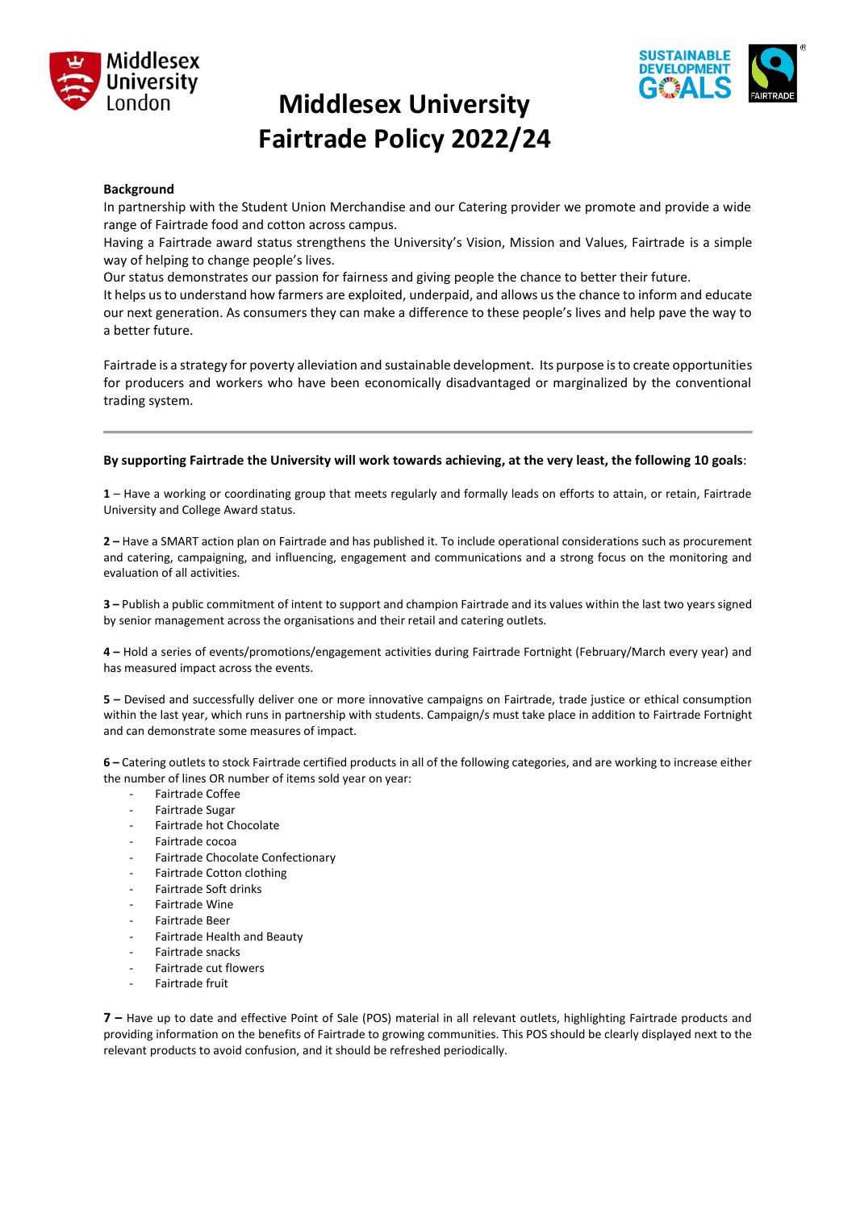



## **Middlesex University Fairtrade Policy 2022/24**

### **Background**

In partnership with the Student Union Merchandise and our Catering provider we promote and provide a wide range of Fairtrade food and cotton across campus.

Having a Fairtrade award status strengthens the University's Vision, Mission and Values, Fairtrade is a simple way of helping to change people's lives.

Our status demonstrates our passion for fairness and giving people the chance to better their future.

It helps us to understand how farmers are exploited, underpaid, and allows us the chance to inform and educate our next generation. As consumers they can make a difference to these people's lives and help pave the way to a better future.

Fairtrade is a strategy for poverty alleviation and sustainable development. Its purpose is to create opportunities for producers and workers who have been economically disadvantaged or marginalized by the conventional trading system.

### **By supporting Fairtrade the University will work towards achieving, at the very least, the following 10 goals**:

**1** – Have a working or coordinating group that meets regularly and formally leads on efforts to attain, or retain, Fairtrade University and College Award status.

**2 –** Have a SMART action plan on Fairtrade and has published it. To include operational considerations such as procurement and catering, campaigning, and influencing, engagement and communications and a strong focus on the monitoring and evaluation of all activities.

**3 –** Publish a public commitment of intent to support and champion Fairtrade and its values within the last two years signed by senior management across the organisations and their retail and catering outlets.

**4 –** Hold a series of events/promotions/engagement activities during Fairtrade Fortnight (February/March every year) and has measured impact across the events.

**5 –** Devised and successfully deliver one or more innovative campaigns on Fairtrade, trade justice or ethical consumption within the last year, which runs in partnership with students. Campaign/s must take place in addition to Fairtrade Fortnight and can demonstrate some measures of impact.

**6 –** Catering outlets to stock Fairtrade certified products in all of the following categories, and are working to increase either the number of lines OR number of items sold year on year:

- Fairtrade Coffee
- Fairtrade Sugar
- Fairtrade hot Chocolate
- Fairtrade cocoa
- Fairtrade Chocolate Confectionary
- Fairtrade Cotton clothing
- Fairtrade Soft drinks
- Fairtrade Wine
- Fairtrade Beer
- Fairtrade Health and Beauty
- Fairtrade snacks
- Fairtrade cut flowers
- Fairtrade fruit

**7 –** Have up to date and effective Point of Sale (POS) material in all relevant outlets, highlighting Fairtrade products and providing information on the benefits of Fairtrade to growing communities. This POS should be clearly displayed next to the relevant products to avoid confusion, and it should be refreshed periodically.